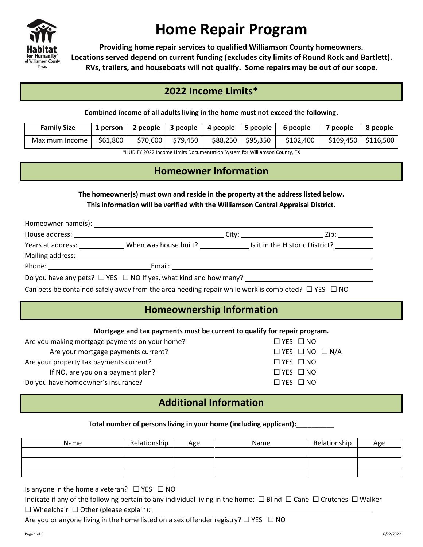

# **Home Repair Program**

**Providing home repair services to qualified Williamson County homeowners. Locations served depend on current funding (excludes city limits of Round Rock and Bartlett). RVs, trailers, and houseboats will not qualify. Some repairs may be out of our scope.**

# **2022 Income Limits\***

**Combined income of all adults living in the home must not exceed the following.**

| <b>Family Size</b> | 1 person $\parallel$ |          |          |                     | $^{\prime}$ 2 people   3 people   4 people   5 people   6 people | 7 people | $\vert$ 8 people      |
|--------------------|----------------------|----------|----------|---------------------|------------------------------------------------------------------|----------|-----------------------|
| Maximum Income     | \$61,800             | \$70,600 | \$79,450 | \$88,250   \$95,350 | \$102,400                                                        |          | \$109,450   \$116,500 |

\*HUD FY 2022 Income Limits Documentation System for Williamson County, TX

# **Homeowner Information**

**The homeowner(s) must own and reside in the property at the address listed below. This information will be verified with the Williamson Central Appraisal District.**

| Years at address: When was house built? It in the Historic District?                                                                                                                                                           |  |
|--------------------------------------------------------------------------------------------------------------------------------------------------------------------------------------------------------------------------------|--|
| Mailing address: Lawrence and Contract and Contract and Contract and Contract and Contract and Contract and Contract and Contract and Contract and Contract and Contract and Contract and Contract and Contract and Contract a |  |
| Phone: Email: Email: Email: Email: Email: Email: Email: Email: Email: Email: Email: Email: Email: Email: Email: Email: Email: Email: Email: Email: Email: Email: Email: Email: Email: Email: Email: Email: Email: Email: Email |  |
| Do you have any pets? $\Box$ YES $\Box$ NO If yes, what kind and how many?                                                                                                                                                     |  |
| Can pets be contained safely away from the area needing repair while work is completed? $\Box$ YES $\Box$ NO                                                                                                                   |  |

# **Homeownership Information**

**Mortgage and tax payments must be current to qualify for repair program.**

| Are you making mortgage payments on your home? | $\Box$ YES $\Box$ NO            |
|------------------------------------------------|---------------------------------|
| Are your mortgage payments current?            | $\Box$ YES $\Box$ NO $\Box$ N/A |
| Are your property tax payments current?        | $\Box$ YES $\Box$ NO            |
| If NO, are you on a payment plan?              | $\Box$ YES $\Box$ NO            |
| Do you have homeowner's insurance?             | $\Box$ YES $\Box$ NO            |
|                                                |                                 |

# **Additional Information**

#### **Total number of persons living in your home (including applicant):\_\_\_\_\_\_\_\_\_\_**

| Name | Relationship | Age | Name | Relationship | Age |
|------|--------------|-----|------|--------------|-----|
|      |              |     |      |              |     |
|      |              |     |      |              |     |
|      |              |     |      |              |     |

| Is anyone in the home a veteran? $\Box$ YES $\Box$ NO |  |
|-------------------------------------------------------|--|
|                                                       |  |

Indicate if any of the following pertain to any individual living in the home:  $\Box$  Blind  $\Box$  Cane  $\Box$  Crutches  $\Box$  Walker  $\square$  Wheelchair  $\square$  Other (please explain):

Are you or anyone living in the home listed on a sex offender registry?  $\Box$  YES  $\Box$  NO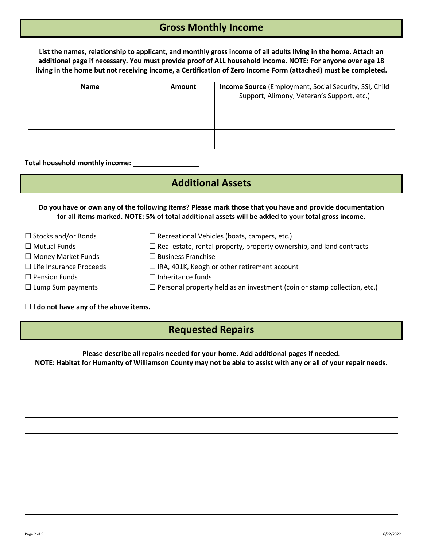## **Gross Monthly Income**

**List the names, relationship to applicant, and monthly gross income of all adults living in the home. Attach an additional page if necessary. You must provide proof of ALL household income. NOTE: For anyone over age 18 living in the home but not receiving income, a Certification of Zero Income Form (attached) must be completed.**

| <b>Name</b> | <b>Amount</b> | Income Source (Employment, Social Security, SSI, Child<br>Support, Alimony, Veteran's Support, etc.) |
|-------------|---------------|------------------------------------------------------------------------------------------------------|
|             |               |                                                                                                      |
|             |               |                                                                                                      |
|             |               |                                                                                                      |
|             |               |                                                                                                      |
|             |               |                                                                                                      |

**Total household monthly income:** 

## **Additional Assets**

**Do you have or own any of the following items? Please mark those that you have and provide documentation for all items marked. NOTE: 5% of total additional assets will be added to your total gross income.**

| $\Box$ Stocks and/or Bonds     | $\Box$ Recreational Vehicles (boats, campers, etc.)                             |
|--------------------------------|---------------------------------------------------------------------------------|
| $\Box$ Mutual Funds            | $\Box$ Real estate, rental property, property ownership, and land contracts     |
| $\Box$ Money Market Funds      | $\Box$ Business Franchise                                                       |
| $\Box$ Life Insurance Proceeds | $\Box$ IRA, 401K, Keogh or other retirement account                             |
| $\Box$ Pension Funds           | $\Box$ Inheritance funds                                                        |
| $\Box$ Lump Sum payments       | $\Box$ Personal property held as an investment (coin or stamp collection, etc.) |

#### □ **I do not have any of the above items.**

#### **Requested Repairs**

**Please describe all repairs needed for your home. Add additional pages if needed. NOTE: Habitat for Humanity of Williamson County may not be able to assist with any or all of your repair needs.**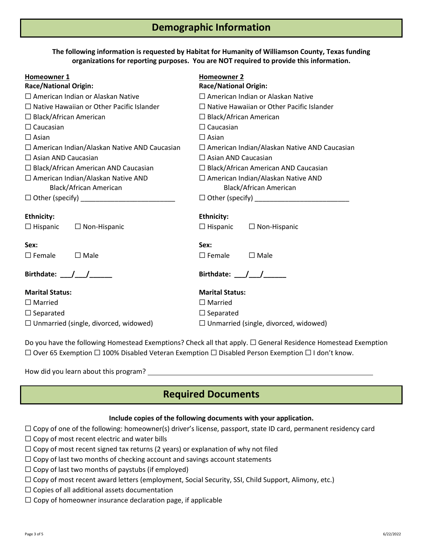**The following information is requested by Habitat for Humanity of Williamson County, Texas funding organizations for reporting purposes. You are NOT required to provide this information.**

| Homeowner 1                                         | Homeowner 2                                         |  |  |
|-----------------------------------------------------|-----------------------------------------------------|--|--|
| <b>Race/National Origin:</b>                        | <b>Race/National Origin:</b>                        |  |  |
| $\Box$ American Indian or Alaskan Native            | $\Box$ American Indian or Alaskan Native            |  |  |
| $\Box$ Native Hawaiian or Other Pacific Islander    | $\Box$ Native Hawaiian or Other Pacific Islander    |  |  |
| $\Box$ Black/African American                       | $\Box$ Black/African American                       |  |  |
| $\Box$ Caucasian                                    | $\Box$ Caucasian                                    |  |  |
| $\Box$ Asian                                        | $\Box$ Asian                                        |  |  |
| $\Box$ American Indian/Alaskan Native AND Caucasian | $\Box$ American Indian/Alaskan Native AND Caucasian |  |  |
| $\Box$ Asian AND Caucasian                          | $\Box$ Asian AND Caucasian                          |  |  |
| $\Box$ Black/African American AND Caucasian         | $\Box$ Black/African American AND Caucasian         |  |  |
| $\Box$ American Indian/Alaskan Native AND           | $\Box$ American Indian/Alaskan Native AND           |  |  |
| Black/African American                              | Black/African American                              |  |  |
|                                                     |                                                     |  |  |
|                                                     |                                                     |  |  |
| <b>Ethnicity:</b>                                   | <b>Ethnicity:</b>                                   |  |  |
| $\Box$ Non-Hispanic<br>$\Box$ Hispanic              | $\Box$ Non-Hispanic<br>$\Box$ Hispanic              |  |  |
| Sex:                                                | Sex:                                                |  |  |
| $\square$ Female<br>$\Box$ Male                     | $\square$ Female<br>$\Box$ Male                     |  |  |
|                                                     |                                                     |  |  |
| Birthdate: $/$ /                                    | Birthdate: $/$ /                                    |  |  |
|                                                     |                                                     |  |  |
| <b>Marital Status:</b>                              | <b>Marital Status:</b>                              |  |  |
| $\Box$ Married                                      | $\Box$ Married                                      |  |  |
| $\Box$ Separated                                    | $\Box$ Separated                                    |  |  |
| $\Box$ Unmarried (single, divorced, widowed)        | $\Box$ Unmarried (single, divorced, widowed)        |  |  |

Do you have the following Homestead Exemptions? Check all that apply. □ General Residence Homestead Exemption □ Over 65 Exemption □ 100% Disabled Veteran Exemption □ Disabled Person Exemption □ I don't know.

How did you learn about this program?

## **Required Documents**

#### **Include copies of the following documents with your application.**

 $\Box$  Copy of one of the following: homeowner(s) driver's license, passport, state ID card, permanent residency card

- $\square$  Copy of most recent electric and water bills
- $\square$  Copy of most recent signed tax returns (2 years) or explanation of why not filed
- $\square$  Copy of last two months of checking account and savings account statements
- $\square$  Copy of last two months of paystubs (if employed)
- $\square$  Copy of most recent award letters (employment, Social Security, SSI, Child Support, Alimony, etc.)
- $\square$  Copies of all additional assets documentation
- $\square$  Copy of homeowner insurance declaration page, if applicable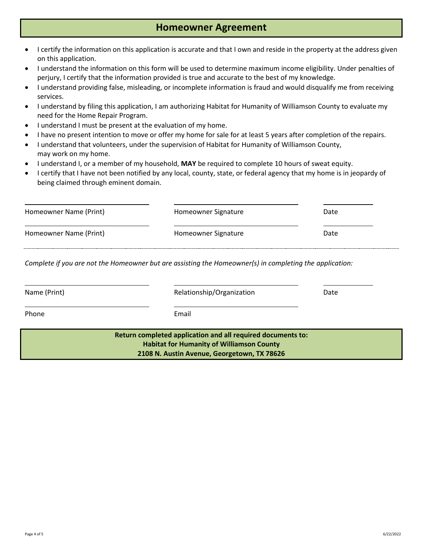#### **Homeowner Agreement**

- I certify the information on this application is accurate and that I own and reside in the property at the address given on this application.
- I understand the information on this form will be used to determine maximum income eligibility. Under penalties of perjury, I certify that the information provided is true and accurate to the best of my knowledge.
- I understand providing false, misleading, or incomplete information is fraud and would disqualify me from receiving services.
- I understand by filing this application, I am authorizing Habitat for Humanity of Williamson County to evaluate my need for the Home Repair Program.
- I understand I must be present at the evaluation of my home.
- I have no present intention to move or offer my home for sale for at least 5 years after completion of the repairs.
- I understand that volunteers, under the supervision of Habitat for Humanity of Williamson County, may work on my home.
- I understand I, or a member of my household, **MAY** be required to complete 10 hours of sweat equity.
- I certify that I have not been notified by any local, county, state, or federal agency that my home is in jeopardy of being claimed through eminent domain.

| Homeowner Name (Print) | Homeowner Signature | Date |
|------------------------|---------------------|------|
| Homeowner Name (Print) | Homeowner Signature | Date |

*Complete if you are not the Homeowner but are assisting the Homeowner(s) in completing the application:*

| Name (Print) | Relationship/Organization                                                                                       | Date |
|--------------|-----------------------------------------------------------------------------------------------------------------|------|
| Phone        | Email                                                                                                           |      |
|              | Return completed application and all required documents to:<br><b>Habitat for Humanity of Williamson County</b> |      |
|              | 2108 N. Austin Avenue, Georgetown, TX 78626                                                                     |      |